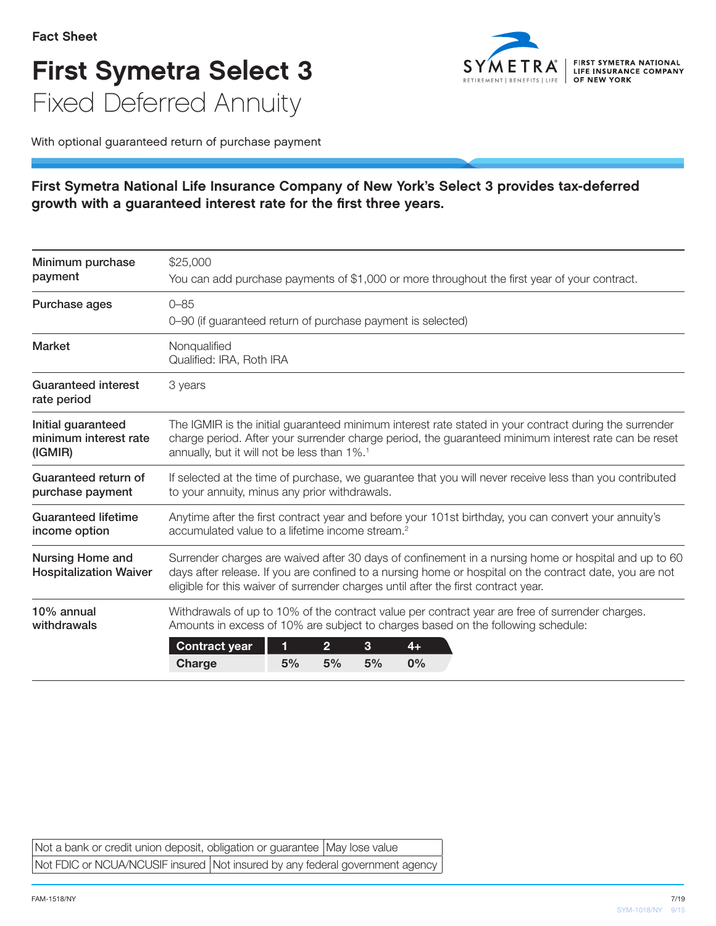## First Symetra Select 3 Fixed Deferred Annuity



With optional guaranteed return of purchase payment

## First Symetra National Life Insurance Company of New York's Select 3 provides tax-deferred growth with a guaranteed interest rate for the first three years.

| Minimum purchase<br>payment                              | \$25,000<br>You can add purchase payments of \$1,000 or more throughout the first year of your contract.                                                                                                                                                                                              |  |  |
|----------------------------------------------------------|-------------------------------------------------------------------------------------------------------------------------------------------------------------------------------------------------------------------------------------------------------------------------------------------------------|--|--|
| Purchase ages                                            | $0 - 85$<br>0-90 (if guaranteed return of purchase payment is selected)                                                                                                                                                                                                                               |  |  |
| <b>Market</b>                                            | Nonqualified<br>Qualified: IRA, Roth IRA                                                                                                                                                                                                                                                              |  |  |
| <b>Guaranteed interest</b><br>rate period                | 3 years                                                                                                                                                                                                                                                                                               |  |  |
| Initial guaranteed<br>minimum interest rate<br>(IGMIR)   | The IGMIR is the initial guaranteed minimum interest rate stated in your contract during the surrender<br>charge period. After your surrender charge period, the guaranteed minimum interest rate can be reset<br>annually, but it will not be less than 1%. <sup>1</sup>                             |  |  |
| Guaranteed return of<br>purchase payment                 | If selected at the time of purchase, we guarantee that you will never receive less than you contributed<br>to your annuity, minus any prior withdrawals.                                                                                                                                              |  |  |
| <b>Guaranteed lifetime</b><br>income option              | Anytime after the first contract year and before your 101st birthday, you can convert your annuity's<br>accumulated value to a lifetime income stream. <sup>2</sup>                                                                                                                                   |  |  |
| <b>Nursing Home and</b><br><b>Hospitalization Waiver</b> | Surrender charges are waived after 30 days of confinement in a nursing home or hospital and up to 60<br>days after release. If you are confined to a nursing home or hospital on the contract date, you are not<br>eligible for this waiver of surrender charges until after the first contract year. |  |  |
| 10% annual<br>withdrawals                                | Withdrawals of up to 10% of the contract value per contract year are free of surrender charges.<br>Amounts in excess of 10% are subject to charges based on the following schedule:<br>3<br><b>Contract year</b><br>1<br>$\overline{2}$<br>$4+$<br>5%<br>5%<br>5%<br>0%<br>Charge                     |  |  |

| Not a bank or credit union deposit, obligation or guarantee   May lose value   |  |
|--------------------------------------------------------------------------------|--|
| Not FDIC or NCUA/NCUSIF insured   Not insured by any federal government agency |  |